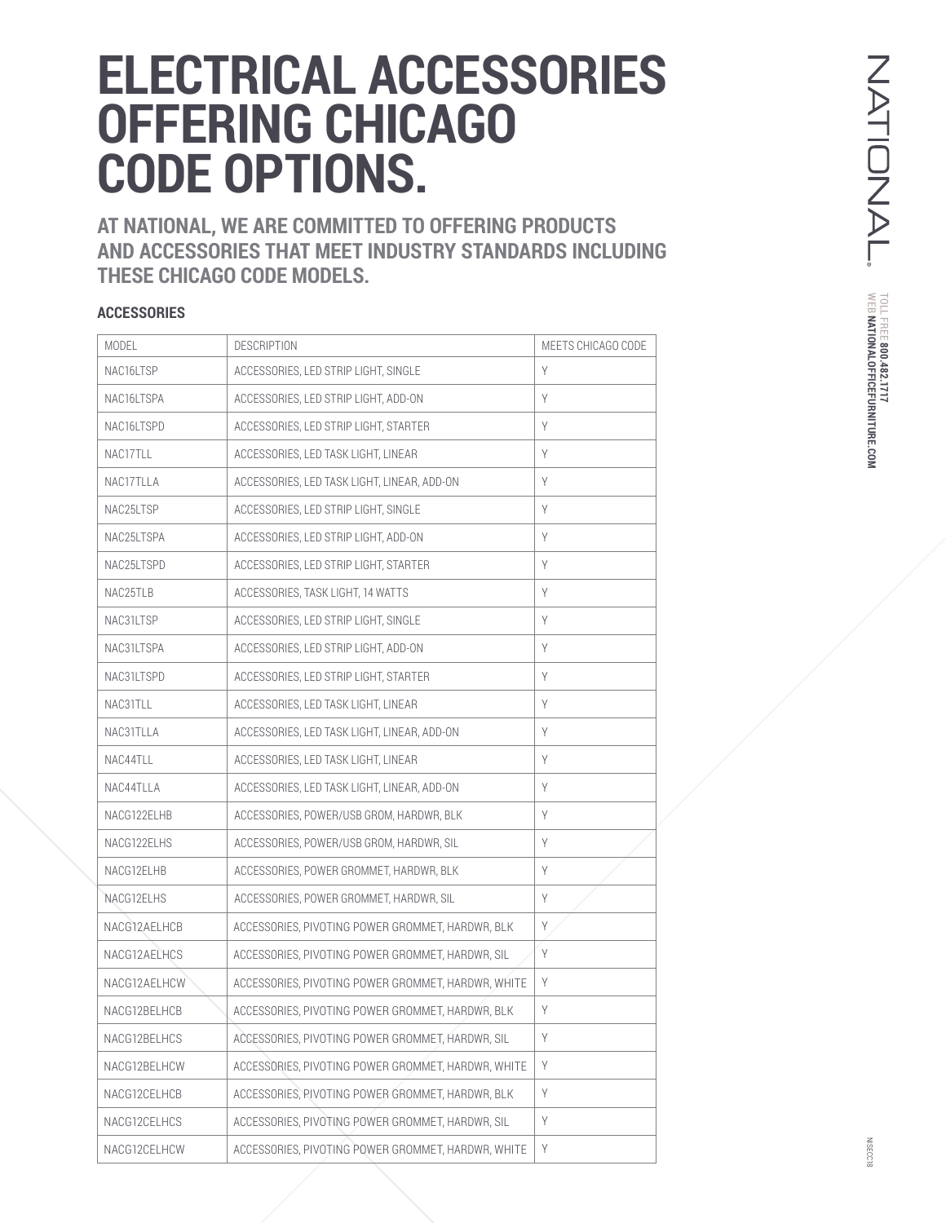## **ELECTRICAL ACCESSORIES OFFERING CHICAGO CODE OPTIONS.**

**AT NATIONAL, WE ARE COMMITTED TO OFFERING PRODUCTS AND ACCESSORIES THAT MEET INDUSTRY STANDARDS INCLUDING THESE CHICAGO CODE MODELS.** 

## **ACCESSORIES**

| MODEL        | <b>DESCRIPTION</b>                                 | MEETS CHICAGO CODE |
|--------------|----------------------------------------------------|--------------------|
| NAC16LTSP    | ACCESSORIES, LED STRIP LIGHT, SINGLE               | Y                  |
| NAC16LTSPA   | ACCESSORIES, LED STRIP LIGHT, ADD-ON               | Y                  |
| NAC16LTSPD   | ACCESSORIES, LED STRIP LIGHT, STARTER              | Y                  |
| NAC17TLL     | ACCESSORIES, LED TASK LIGHT, LINEAR                | Y                  |
| NAC17TLLA    | ACCESSORIES, LED TASK LIGHT, LINEAR, ADD-ON        | Y                  |
| NAC25LTSP    | ACCESSORIES, LED STRIP LIGHT, SINGLE               | Y                  |
| NAC25LTSPA   | ACCESSORIES, LED STRIP LIGHT, ADD-ON               | Y                  |
| NAC25LTSPD   | ACCESSORIES, LED STRIP LIGHT, STARTER              | Y                  |
| NAC25TLB     | ACCESSORIES, TASK LIGHT, 14 WATTS                  | Y                  |
| NAC31LTSP    | ACCESSORIES, LED STRIP LIGHT, SINGLE               | Y                  |
| NAC31LTSPA   | ACCESSORIES, LED STRIP LIGHT, ADD-ON               | Y                  |
| NAC31LTSPD   | ACCESSORIES, LED STRIP LIGHT, STARTER              | Y                  |
| NAC31TLL     | ACCESSORIES, LED TASK LIGHT, LINEAR                | Y                  |
| NAC31TLLA    | ACCESSORIES, LED TASK LIGHT, LINEAR, ADD-ON        | Y                  |
| NAC44TLL     | ACCESSORIES, LED TASK LIGHT, LINEAR                | Y                  |
| NAC44TLLA    | ACCESSORIES, LED TASK LIGHT, LINEAR, ADD-ON        | Y                  |
| NACG122ELHB  | ACCESSORIES, POWER/USB GROM, HARDWR, BLK           | Y                  |
| NACG122ELHS  | ACCESSORIES, POWER/USB GROM, HARDWR, SIL           | Y                  |
| NACG12ELHB   | ACCESSORIES, POWER GROMMET, HARDWR, BLK            | Y                  |
| NACG12ELHS   | ACCESSORIES, POWER GROMMET, HARDWR, SIL            | Y                  |
| NACG12AELHCB | ACCESSORIES, PIVOTING POWER GROMMET, HARDWR, BLK   | Y                  |
| NACG12AELHCS | ACCESSORIES, PIVOTING POWER GROMMET, HARDWR, SIL   | Y                  |
| NACG12AELHCW | ACCESSORIES, PIVOTING POWER GROMMET, HARDWR, WHITE | Y                  |
| NACG12BELHCB | ACCESSORIES, PIVOTING POWER GROMMET, HARDWR, BLK   | Y                  |
| NACG12BELHCS | ACCESSORIES, PIVOTING POWER GROMMET, HARDWR, SIL   | Y                  |
| NACG12BELHCW | ACCESSORIES, PIVOTING POWER GROMMET, HARDWR, WHITE | Y                  |
| NACG12CELHCB | ACCESSORIES, PIVOTING POWER GROMMET, HARDWR, BLK   | Y                  |
| NACG12CELHCS | ACCESSORIES. PIVOTING POWER GROMMET. HARDWR. SIL   | Y                  |
| NACG12CELHCW | ACCESSORIES, PIVOTING POWER GROMMET, HARDWR, WHITE | Y                  |